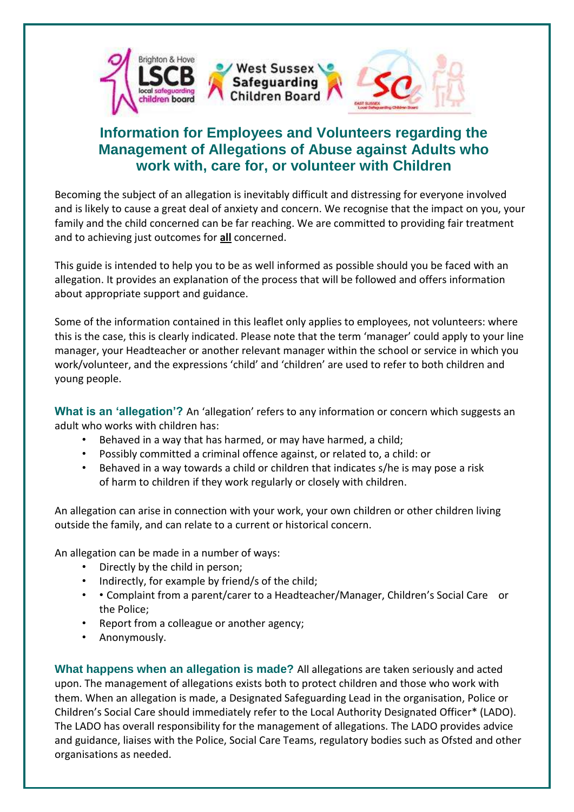

## **Information for Employees and Volunteers regarding the Management of Allegations of Abuse against Adults who work with, care for, or volunteer with Children**

Becoming the subject of an allegation is inevitably difficult and distressing for everyone involved and is likely to cause a great deal of anxiety and concern. We recognise that the impact on you, your family and the child concerned can be far reaching. We are committed to providing fair treatment and to achieving just outcomes for **all** concerned.

This guide is intended to help you to be as well informed as possible should you be faced with an allegation. It provides an explanation of the process that will be followed and offers information about appropriate support and guidance.

Some of the information contained in this leaflet only applies to employees, not volunteers: where this is the case, this is clearly indicated. Please note that the term 'manager' could apply to your line manager, your Headteacher or another relevant manager within the school or service in which you work/volunteer, and the expressions 'child' and 'children' are used to refer to both children and young people.

**What is an 'allegation'?** An 'allegation' refers to any information or concern which suggests an adult who works with children has:

- Behaved in a way that has harmed, or may have harmed, a child;
- Possibly committed a criminal offence against, or related to, a child: or
- Behaved in a way towards a child or children that indicates s/he is may pose a risk of harm to children if they work regularly or closely with children.

An allegation can arise in connection with your work, your own children or other children living outside the family, and can relate to a current or historical concern.

An allegation can be made in a number of ways:

- Directly by the child in person;
- Indirectly, for example by friend/s of the child;
- • Complaint from a parent/carer to a Headteacher/Manager, Children's Social Care or the Police;
- Report from a colleague or another agency;
- Anonymously.

**What happens when an allegation is made?** All allegations are taken seriously and acted upon. The management of allegations exists both to protect children and those who work with them. When an allegation is made, a Designated Safeguarding Lead in the organisation, Police or Children's Social Care should immediately refer to the Local Authority Designated Officer\* (LADO). The LADO has overall responsibility for the management of allegations. The LADO provides advice and guidance, liaises with the Police, Social Care Teams, regulatory bodies such as Ofsted and other organisations as needed.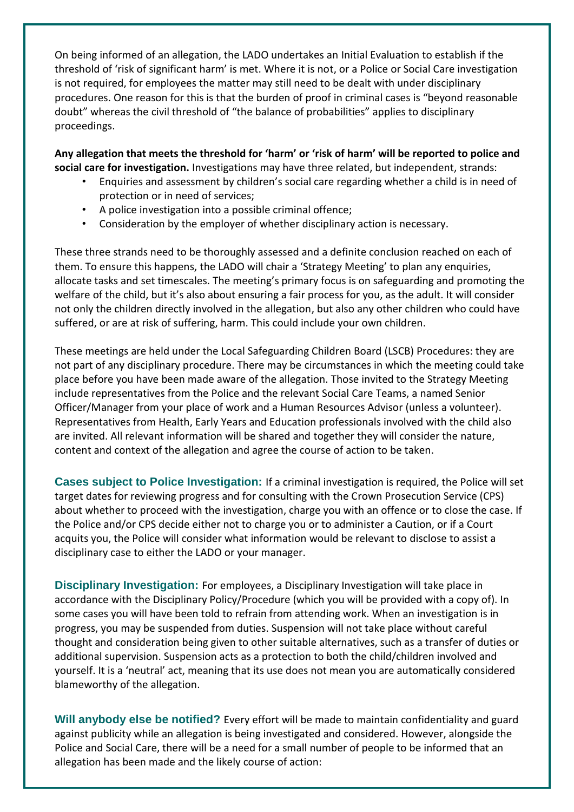On being informed of an allegation, the LADO undertakes an Initial Evaluation to establish if the threshold of 'risk of significant harm' is met. Where it is not, or a Police or Social Care investigation is not required, for employees the matter may still need to be dealt with under disciplinary procedures. One reason for this is that the burden of proof in criminal cases is "beyond reasonable doubt" whereas the civil threshold of "the balance of probabilities" applies to disciplinary proceedings.

**Any allegation that meets the threshold for 'harm' or 'risk of harm' will be reported to police and social care for investigation.** Investigations may have three related, but independent, strands:

- Enquiries and assessment by children's social care regarding whether a child is in need of protection or in need of services;
- A police investigation into a possible criminal offence;
- Consideration by the employer of whether disciplinary action is necessary.

These three strands need to be thoroughly assessed and a definite conclusion reached on each of them. To ensure this happens, the LADO will chair a 'Strategy Meeting' to plan any enquiries, allocate tasks and set timescales. The meeting's primary focus is on safeguarding and promoting the welfare of the child, but it's also about ensuring a fair process for you, as the adult. It will consider not only the children directly involved in the allegation, but also any other children who could have suffered, or are at risk of suffering, harm. This could include your own children.

These meetings are held under the Local Safeguarding Children Board (LSCB) Procedures: they are not part of any disciplinary procedure. There may be circumstances in which the meeting could take place before you have been made aware of the allegation. Those invited to the Strategy Meeting include representatives from the Police and the relevant Social Care Teams, a named Senior Officer/Manager from your place of work and a Human Resources Advisor (unless a volunteer). Representatives from Health, Early Years and Education professionals involved with the child also are invited. All relevant information will be shared and together they will consider the nature, content and context of the allegation and agree the course of action to be taken.

**Cases subject to Police Investigation:** If a criminal investigation is required, the Police will set target dates for reviewing progress and for consulting with the Crown Prosecution Service (CPS) about whether to proceed with the investigation, charge you with an offence or to close the case. If the Police and/or CPS decide either not to charge you or to administer a Caution, or if a Court acquits you, the Police will consider what information would be relevant to disclose to assist a disciplinary case to either the LADO or your manager.

**Disciplinary Investigation:** For employees, a Disciplinary Investigation will take place in accordance with the Disciplinary Policy/Procedure (which you will be provided with a copy of). In some cases you will have been told to refrain from attending work. When an investigation is in progress, you may be suspended from duties. Suspension will not take place without careful thought and consideration being given to other suitable alternatives, such as a transfer of duties or additional supervision. Suspension acts as a protection to both the child/children involved and yourself. It is a 'neutral' act, meaning that its use does not mean you are automatically considered blameworthy of the allegation.

**Will anybody else be notified?** Every effort will be made to maintain confidentiality and guard against publicity while an allegation is being investigated and considered. However, alongside the Police and Social Care, there will be a need for a small number of people to be informed that an allegation has been made and the likely course of action: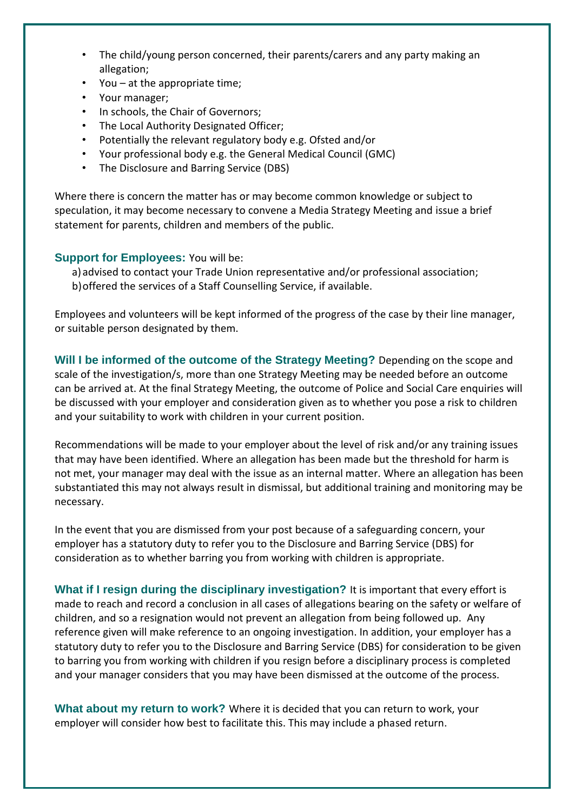- The child/young person concerned, their parents/carers and any party making an allegation;
- You at the appropriate time;
- Your manager;
- In schools, the Chair of Governors;
- The Local Authority Designated Officer;
- Potentially the relevant regulatory body e.g. Ofsted and/or
- Your professional body e.g. the General Medical Council (GMC)
- The Disclosure and Barring Service (DBS)

Where there is concern the matter has or may become common knowledge or subject to speculation, it may become necessary to convene a Media Strategy Meeting and issue a brief statement for parents, children and members of the public.

## **Support for Employees:** You will be:

a) advised to contact your Trade Union representative and/or professional association; b)offered the services of a Staff Counselling Service, if available.

Employees and volunteers will be kept informed of the progress of the case by their line manager, or suitable person designated by them.

**Will I be informed of the outcome of the Strategy Meeting?** Depending on the scope and scale of the investigation/s, more than one Strategy Meeting may be needed before an outcome can be arrived at. At the final Strategy Meeting, the outcome of Police and Social Care enquiries will be discussed with your employer and consideration given as to whether you pose a risk to children and your suitability to work with children in your current position.

Recommendations will be made to your employer about the level of risk and/or any training issues that may have been identified. Where an allegation has been made but the threshold for harm is not met, your manager may deal with the issue as an internal matter. Where an allegation has been substantiated this may not always result in dismissal, but additional training and monitoring may be necessary.

In the event that you are dismissed from your post because of a safeguarding concern, your employer has a statutory duty to refer you to the Disclosure and Barring Service (DBS) for consideration as to whether barring you from working with children is appropriate.

**What if I resign during the disciplinary investigation?** It is important that every effort is made to reach and record a conclusion in all cases of allegations bearing on the safety or welfare of children, and so a resignation would not prevent an allegation from being followed up. Any reference given will make reference to an ongoing investigation. In addition, your employer has a statutory duty to refer you to the Disclosure and Barring Service (DBS) for consideration to be given to barring you from working with children if you resign before a disciplinary process is completed and your manager considers that you may have been dismissed at the outcome of the process.

**What about my return to work?** Where it is decided that you can return to work, your employer will consider how best to facilitate this. This may include a phased return.